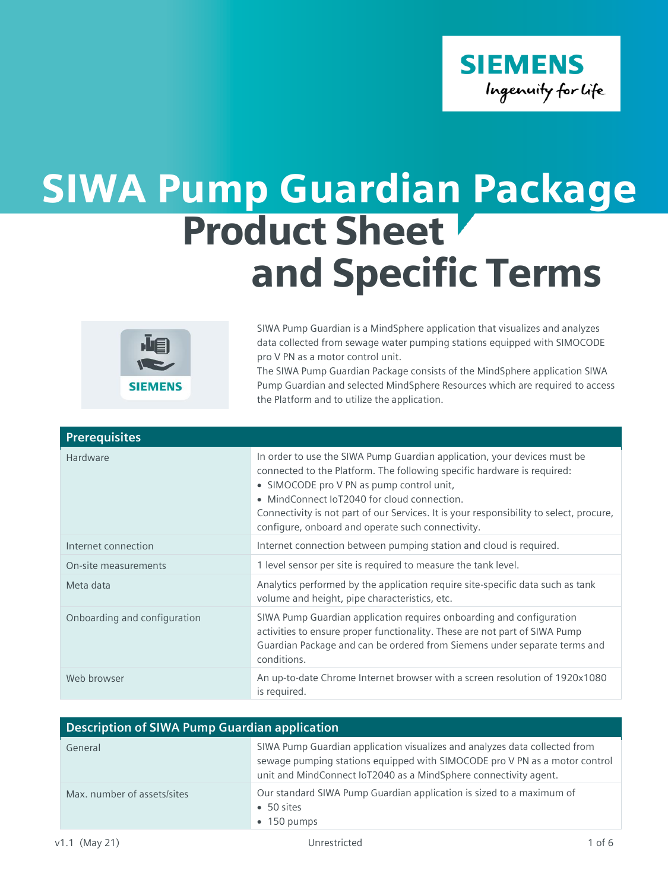

## SIWA Pump Guardian Package Product Sheet and Specific Terms



SIWA Pump Guardian is a MindSphere application that visualizes and analyzes data collected from sewage water pumping stations equipped with SIMOCODE pro V PN as a motor control unit.

The SIWA Pump Guardian Package consists of the MindSphere application SIWA Pump Guardian and selected MindSphere Resources which are required to access the Platform and to utilize the application.

| <b>Prerequisites</b>         |                                                                                                                                                                                                                                                                                                                                                                                                 |
|------------------------------|-------------------------------------------------------------------------------------------------------------------------------------------------------------------------------------------------------------------------------------------------------------------------------------------------------------------------------------------------------------------------------------------------|
| Hardware                     | In order to use the SIWA Pump Guardian application, your devices must be<br>connected to the Platform. The following specific hardware is required:<br>• SIMOCODE pro V PN as pump control unit,<br>• MindConnect IoT2040 for cloud connection.<br>Connectivity is not part of our Services. It is your responsibility to select, procure,<br>configure, onboard and operate such connectivity. |
| Internet connection          | Internet connection between pumping station and cloud is required.                                                                                                                                                                                                                                                                                                                              |
| On-site measurements         | 1 level sensor per site is required to measure the tank level.                                                                                                                                                                                                                                                                                                                                  |
| Meta data                    | Analytics performed by the application require site-specific data such as tank<br>volume and height, pipe characteristics, etc.                                                                                                                                                                                                                                                                 |
| Onboarding and configuration | SIWA Pump Guardian application requires onboarding and configuration<br>activities to ensure proper functionality. These are not part of SIWA Pump<br>Guardian Package and can be ordered from Siemens under separate terms and<br>conditions.                                                                                                                                                  |
| Web browser                  | An up-to-date Chrome Internet browser with a screen resolution of 1920x1080<br>is required.                                                                                                                                                                                                                                                                                                     |

| Description of SIWA Pump Guardian application |                                                                                                                                                                                                                              |
|-----------------------------------------------|------------------------------------------------------------------------------------------------------------------------------------------------------------------------------------------------------------------------------|
| General                                       | SIWA Pump Guardian application visualizes and analyzes data collected from<br>sewage pumping stations equipped with SIMOCODE pro V PN as a motor control<br>unit and MindConnect IoT2040 as a MindSphere connectivity agent. |
| Max. number of assets/sites                   | Our standard SIWA Pump Guardian application is sized to a maximum of<br>$\bullet$ 50 sites<br>$\bullet$ 150 pumps                                                                                                            |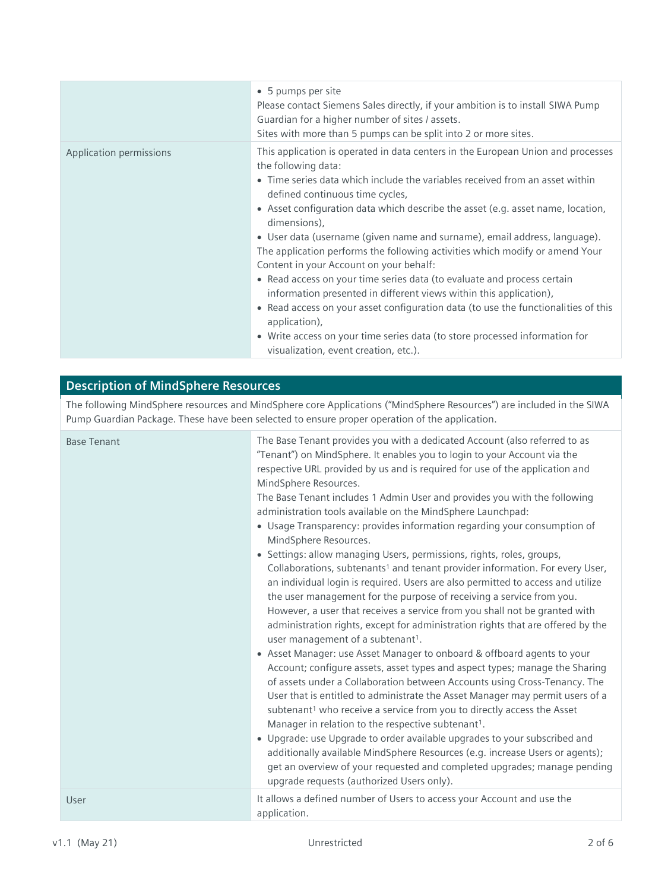|                         | • 5 pumps per site<br>Please contact Siemens Sales directly, if your ambition is to install SIWA Pump<br>Guardian for a higher number of sites / assets.<br>Sites with more than 5 pumps can be split into 2 or more sites.                                                                                                                                                                                                                                                                                                                                                                                                                                                                                                                                                                                                                                                                                           |
|-------------------------|-----------------------------------------------------------------------------------------------------------------------------------------------------------------------------------------------------------------------------------------------------------------------------------------------------------------------------------------------------------------------------------------------------------------------------------------------------------------------------------------------------------------------------------------------------------------------------------------------------------------------------------------------------------------------------------------------------------------------------------------------------------------------------------------------------------------------------------------------------------------------------------------------------------------------|
| Application permissions | This application is operated in data centers in the European Union and processes<br>the following data:<br>• Time series data which include the variables received from an asset within<br>defined continuous time cycles,<br>• Asset configuration data which describe the asset (e.g. asset name, location,<br>dimensions),<br>• User data (username (given name and surname), email address, language).<br>The application performs the following activities which modify or amend Your<br>Content in your Account on your behalf:<br>• Read access on your time series data (to evaluate and process certain<br>information presented in different views within this application),<br>• Read access on your asset configuration data (to use the functionalities of this<br>application),<br>• Write access on your time series data (to store processed information for<br>visualization, event creation, etc.). |

## **Description of MindSphere Resources**

The following MindSphere resources and MindSphere core Applications ("MindSphere Resources") are included in the SIWA Pump Guardian Package. These have been selected to ensure proper operation of the application.

| <b>Base Tenant</b> | The Base Tenant provides you with a dedicated Account (also referred to as<br>"Tenant") on MindSphere. It enables you to login to your Account via the<br>respective URL provided by us and is required for use of the application and<br>MindSphere Resources.<br>The Base Tenant includes 1 Admin User and provides you with the following<br>administration tools available on the MindSphere Launchpad:<br>• Usage Transparency: provides information regarding your consumption of<br>MindSphere Resources.<br>• Settings: allow managing Users, permissions, rights, roles, groups,<br>Collaborations, subtenants <sup>1</sup> and tenant provider information. For every User,<br>an individual login is required. Users are also permitted to access and utilize<br>the user management for the purpose of receiving a service from you.<br>However, a user that receives a service from you shall not be granted with<br>administration rights, except for administration rights that are offered by the<br>user management of a subtenant <sup>1</sup> .<br>• Asset Manager: use Asset Manager to onboard & offboard agents to your<br>Account; configure assets, asset types and aspect types; manage the Sharing<br>of assets under a Collaboration between Accounts using Cross-Tenancy. The<br>User that is entitled to administrate the Asset Manager may permit users of a<br>subtenant <sup>1</sup> who receive a service from you to directly access the Asset<br>Manager in relation to the respective subtenant <sup>1</sup> .<br>• Upgrade: use Upgrade to order available upgrades to your subscribed and<br>additionally available MindSphere Resources (e.g. increase Users or agents);<br>get an overview of your requested and completed upgrades; manage pending<br>upgrade requests (authorized Users only). |
|--------------------|------------------------------------------------------------------------------------------------------------------------------------------------------------------------------------------------------------------------------------------------------------------------------------------------------------------------------------------------------------------------------------------------------------------------------------------------------------------------------------------------------------------------------------------------------------------------------------------------------------------------------------------------------------------------------------------------------------------------------------------------------------------------------------------------------------------------------------------------------------------------------------------------------------------------------------------------------------------------------------------------------------------------------------------------------------------------------------------------------------------------------------------------------------------------------------------------------------------------------------------------------------------------------------------------------------------------------------------------------------------------------------------------------------------------------------------------------------------------------------------------------------------------------------------------------------------------------------------------------------------------------------------------------------------------------------------------------------------------------------------------------------------------------------------------------------------------------------------|
| User               | It allows a defined number of Users to access your Account and use the<br>application.                                                                                                                                                                                                                                                                                                                                                                                                                                                                                                                                                                                                                                                                                                                                                                                                                                                                                                                                                                                                                                                                                                                                                                                                                                                                                                                                                                                                                                                                                                                                                                                                                                                                                                                                                   |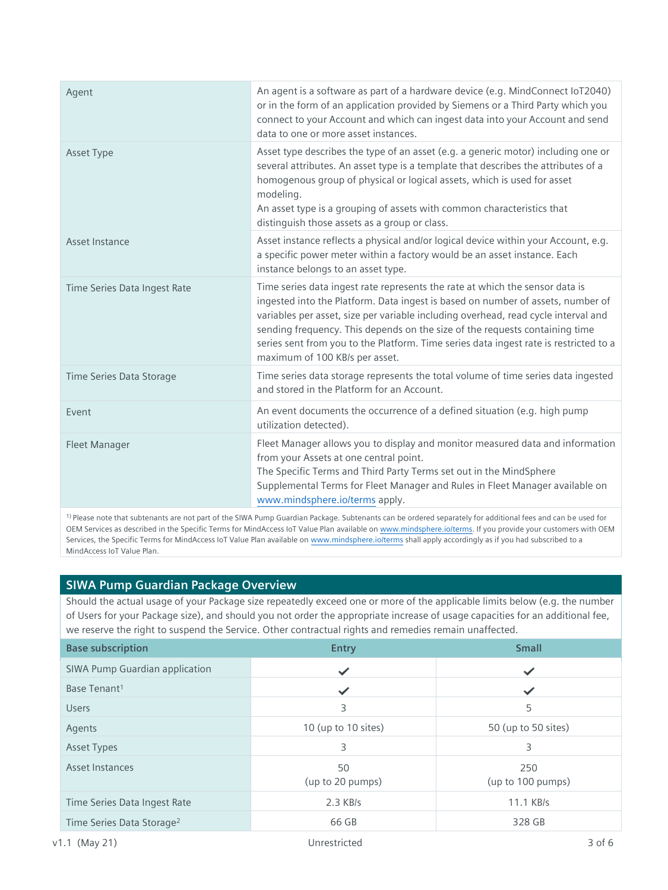| Agent                        | An agent is a software as part of a hardware device (e.g. MindConnect IoT2040)<br>or in the form of an application provided by Siemens or a Third Party which you<br>connect to your Account and which can ingest data into your Account and send<br>data to one or more asset instances.                                                                                                                                                                       |
|------------------------------|-----------------------------------------------------------------------------------------------------------------------------------------------------------------------------------------------------------------------------------------------------------------------------------------------------------------------------------------------------------------------------------------------------------------------------------------------------------------|
| Asset Type                   | Asset type describes the type of an asset (e.g. a generic motor) including one or<br>several attributes. An asset type is a template that describes the attributes of a<br>homogenous group of physical or logical assets, which is used for asset<br>modeling.<br>An asset type is a grouping of assets with common characteristics that<br>distinguish those assets as a group or class.                                                                      |
| Asset Instance               | Asset instance reflects a physical and/or logical device within your Account, e.g.<br>a specific power meter within a factory would be an asset instance. Each<br>instance belongs to an asset type.                                                                                                                                                                                                                                                            |
| Time Series Data Ingest Rate | Time series data ingest rate represents the rate at which the sensor data is<br>ingested into the Platform. Data ingest is based on number of assets, number of<br>variables per asset, size per variable including overhead, read cycle interval and<br>sending frequency. This depends on the size of the requests containing time<br>series sent from you to the Platform. Time series data ingest rate is restricted to a<br>maximum of 100 KB/s per asset. |
| Time Series Data Storage     | Time series data storage represents the total volume of time series data ingested<br>and stored in the Platform for an Account.                                                                                                                                                                                                                                                                                                                                 |
| Event                        | An event documents the occurrence of a defined situation (e.g. high pump<br>utilization detected).                                                                                                                                                                                                                                                                                                                                                              |
| Fleet Manager                | Fleet Manager allows you to display and monitor measured data and information<br>from your Assets at one central point.<br>The Specific Terms and Third Party Terms set out in the MindSphere<br>Supplemental Terms for Fleet Manager and Rules in Fleet Manager available on<br>www.mindsphere.io/terms apply.                                                                                                                                                 |

1) Please note that subtenants are not part of the SIWA Pump Guardian Package. Subtenants can be ordered separately for additional fees and can be used for OEM Services as described in the Specific Terms for MindAccess IoT Value Plan available on [www.mindsphere.io/terms.](http://www.mindsphere.io/terms) If you provide your customers with OEM Services, the Specific Terms for MindAccess IoT Value Plan available on [www.mindsphere.io/terms](http://www.mindsphere.io/terms) shall apply accordingly as if you had subscribed to a MindAccess IoT Value Plan.

## **SIWA Pump Guardian Package Overview**

Should the actual usage of your Package size repeatedly exceed one or more of the applicable limits below (e.g. the number of Users for your Package size), and should you not order the appropriate increase of usage capacities for an additional fee, we reserve the right to suspend the Service. Other contractual rights and remedies remain unaffected.

| <b>Base subscription</b>              | <b>Entry</b>           | <b>Small</b>             |
|---------------------------------------|------------------------|--------------------------|
| SIWA Pump Guardian application        |                        | ✓                        |
| Base Tenant <sup>1</sup>              | ✓                      | $\checkmark$             |
| <b>Users</b>                          | 3                      | 5                        |
| Agents                                | 10 (up to 10 sites)    | 50 (up to 50 sites)      |
| <b>Asset Types</b>                    | 3                      | 3                        |
| Asset Instances                       | 50<br>(up to 20 pumps) | 250<br>(up to 100 pumps) |
| Time Series Data Ingest Rate          | $2.3$ KB/s             | 11.1 KB/s                |
| Time Series Data Storage <sup>2</sup> | 66 GB                  | 328 GB                   |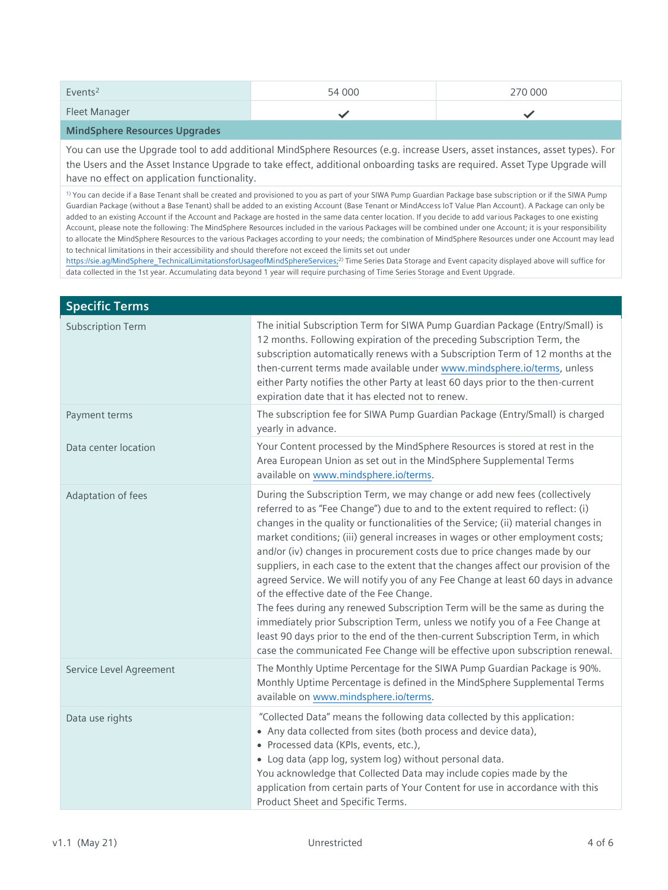| Events <sup>2</sup> | 54 000 | 270 000 |
|---------------------|--------|---------|
| Fleet Manager       |        |         |
| ___<br>.            |        |         |

**MindSphere Resources Upgrades**

You can use the Upgrade tool to add additional MindSphere Resources (e.g. increase Users, asset instances, asset types). For the Users and the Asset Instance Upgrade to take effect, additional onboarding tasks are required. Asset Type Upgrade will have no effect on application functionality.

1) You can decide if a Base Tenant shall be created and provisioned to you as part of your SIWA Pump Guardian Package base subscription or if the SIWA Pump Guardian Package (without a Base Tenant) shall be added to an existing Account (Base Tenant or MindAccess IoT Value Plan Account). A Package can only be added to an existing Account if the Account and Package are hosted in the same data center location. If you decide to add various Packages to one existing Account, please note the following: The MindSphere Resources included in the various Packages will be combined under one Account; it is your responsibility to allocate the MindSphere Resources to the various Packages according to your needs; the combination of MindSphere Resources under one Account may lead to technical limitations in their accessibility and should therefore not exceed the limits set out under

[https://sie.ag/MindSphere\\_TechnicalLimitationsforUsageofMindSphereServices;](https://sie.ag/MindSphere_TechnicalLimitationsforUsageofMindSphereServices)<sup>2)</sup> Time Series Data Storage and Event capacity displayed above will suffice for data collected in the 1st year. Accumulating data beyond 1 year will require purchasing of Time Series Storage and Event Upgrade.

| <b>Specific Terms</b>    |                                                                                                                                                                                                                                                                                                                                                                                                                                                                                                                                                                                                                                                                                                                                                                                                                                                                                                                                                                           |
|--------------------------|---------------------------------------------------------------------------------------------------------------------------------------------------------------------------------------------------------------------------------------------------------------------------------------------------------------------------------------------------------------------------------------------------------------------------------------------------------------------------------------------------------------------------------------------------------------------------------------------------------------------------------------------------------------------------------------------------------------------------------------------------------------------------------------------------------------------------------------------------------------------------------------------------------------------------------------------------------------------------|
| <b>Subscription Term</b> | The initial Subscription Term for SIWA Pump Guardian Package (Entry/Small) is<br>12 months. Following expiration of the preceding Subscription Term, the<br>subscription automatically renews with a Subscription Term of 12 months at the<br>then-current terms made available under www.mindsphere.io/terms, unless<br>either Party notifies the other Party at least 60 days prior to the then-current<br>expiration date that it has elected not to renew.                                                                                                                                                                                                                                                                                                                                                                                                                                                                                                            |
| Payment terms            | The subscription fee for SIWA Pump Guardian Package (Entry/Small) is charged<br>yearly in advance.                                                                                                                                                                                                                                                                                                                                                                                                                                                                                                                                                                                                                                                                                                                                                                                                                                                                        |
| Data center location     | Your Content processed by the MindSphere Resources is stored at rest in the<br>Area European Union as set out in the MindSphere Supplemental Terms<br>available on www.mindsphere.io/terms.                                                                                                                                                                                                                                                                                                                                                                                                                                                                                                                                                                                                                                                                                                                                                                               |
| Adaptation of fees       | During the Subscription Term, we may change or add new fees (collectively<br>referred to as "Fee Change") due to and to the extent required to reflect: (i)<br>changes in the quality or functionalities of the Service; (ii) material changes in<br>market conditions; (iii) general increases in wages or other employment costs;<br>and/or (iv) changes in procurement costs due to price changes made by our<br>suppliers, in each case to the extent that the changes affect our provision of the<br>agreed Service. We will notify you of any Fee Change at least 60 days in advance<br>of the effective date of the Fee Change.<br>The fees during any renewed Subscription Term will be the same as during the<br>immediately prior Subscription Term, unless we notify you of a Fee Change at<br>least 90 days prior to the end of the then-current Subscription Term, in which<br>case the communicated Fee Change will be effective upon subscription renewal. |
| Service Level Agreement  | The Monthly Uptime Percentage for the SIWA Pump Guardian Package is 90%.<br>Monthly Uptime Percentage is defined in the MindSphere Supplemental Terms<br>available on www.mindsphere.io/terms.                                                                                                                                                                                                                                                                                                                                                                                                                                                                                                                                                                                                                                                                                                                                                                            |
| Data use rights          | "Collected Data" means the following data collected by this application:<br>• Any data collected from sites (both process and device data),<br>• Processed data (KPIs, events, etc.),<br>• Log data (app log, system log) without personal data.<br>You acknowledge that Collected Data may include copies made by the<br>application from certain parts of Your Content for use in accordance with this<br>Product Sheet and Specific Terms.                                                                                                                                                                                                                                                                                                                                                                                                                                                                                                                             |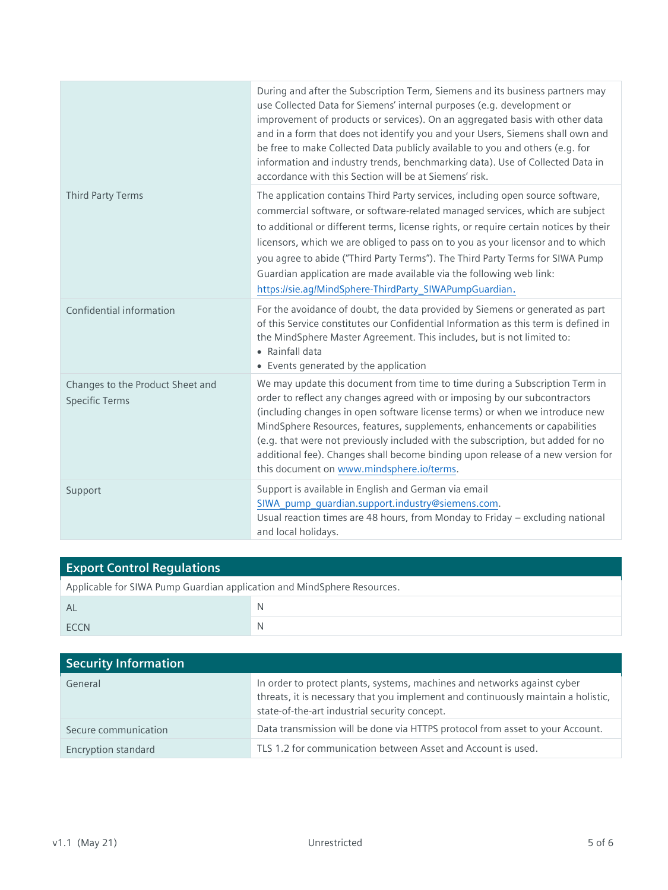|                                                           | During and after the Subscription Term, Siemens and its business partners may<br>use Collected Data for Siemens' internal purposes (e.g. development or<br>improvement of products or services). On an aggregated basis with other data<br>and in a form that does not identify you and your Users, Siemens shall own and<br>be free to make Collected Data publicly available to you and others (e.g. for<br>information and industry trends, benchmarking data). Use of Collected Data in<br>accordance with this Section will be at Siemens' risk.        |
|-----------------------------------------------------------|--------------------------------------------------------------------------------------------------------------------------------------------------------------------------------------------------------------------------------------------------------------------------------------------------------------------------------------------------------------------------------------------------------------------------------------------------------------------------------------------------------------------------------------------------------------|
| <b>Third Party Terms</b>                                  | The application contains Third Party services, including open source software,<br>commercial software, or software-related managed services, which are subject<br>to additional or different terms, license rights, or require certain notices by their<br>licensors, which we are obliged to pass on to you as your licensor and to which<br>you agree to abide ("Third Party Terms"). The Third Party Terms for SIWA Pump<br>Guardian application are made available via the following web link:<br>https://sie.ag/MindSphere-ThirdParty_SIWAPumpGuardian. |
| Confidential information                                  | For the avoidance of doubt, the data provided by Siemens or generated as part<br>of this Service constitutes our Confidential Information as this term is defined in<br>the MindSphere Master Agreement. This includes, but is not limited to:<br>• Rainfall data<br>• Events generated by the application                                                                                                                                                                                                                                                   |
| Changes to the Product Sheet and<br><b>Specific Terms</b> | We may update this document from time to time during a Subscription Term in<br>order to reflect any changes agreed with or imposing by our subcontractors<br>(including changes in open software license terms) or when we introduce new<br>MindSphere Resources, features, supplements, enhancements or capabilities<br>(e.g. that were not previously included with the subscription, but added for no<br>additional fee). Changes shall become binding upon release of a new version for<br>this document on www.mindsphere.io/terms.                     |
| Support                                                   | Support is available in English and German via email<br>SIWA_pump_guardian.support.industry@siemens.com.<br>Usual reaction times are 48 hours, from Monday to Friday - excluding national<br>and local holidays.                                                                                                                                                                                                                                                                                                                                             |

| <b>Export Control Regulations</b>                                       |   |  |
|-------------------------------------------------------------------------|---|--|
| Applicable for SIWA Pump Guardian application and MindSphere Resources. |   |  |
| Al                                                                      |   |  |
| <b>FCCN</b>                                                             | N |  |

| <b>Security Information</b> |                                                                                                                                                                                                                |
|-----------------------------|----------------------------------------------------------------------------------------------------------------------------------------------------------------------------------------------------------------|
| General                     | In order to protect plants, systems, machines and networks against cyber<br>threats, it is necessary that you implement and continuously maintain a holistic,<br>state-of-the-art industrial security concept. |
| Secure communication        | Data transmission will be done via HTTPS protocol from asset to your Account.                                                                                                                                  |
| Encryption standard         | TLS 1.2 for communication between Asset and Account is used.                                                                                                                                                   |